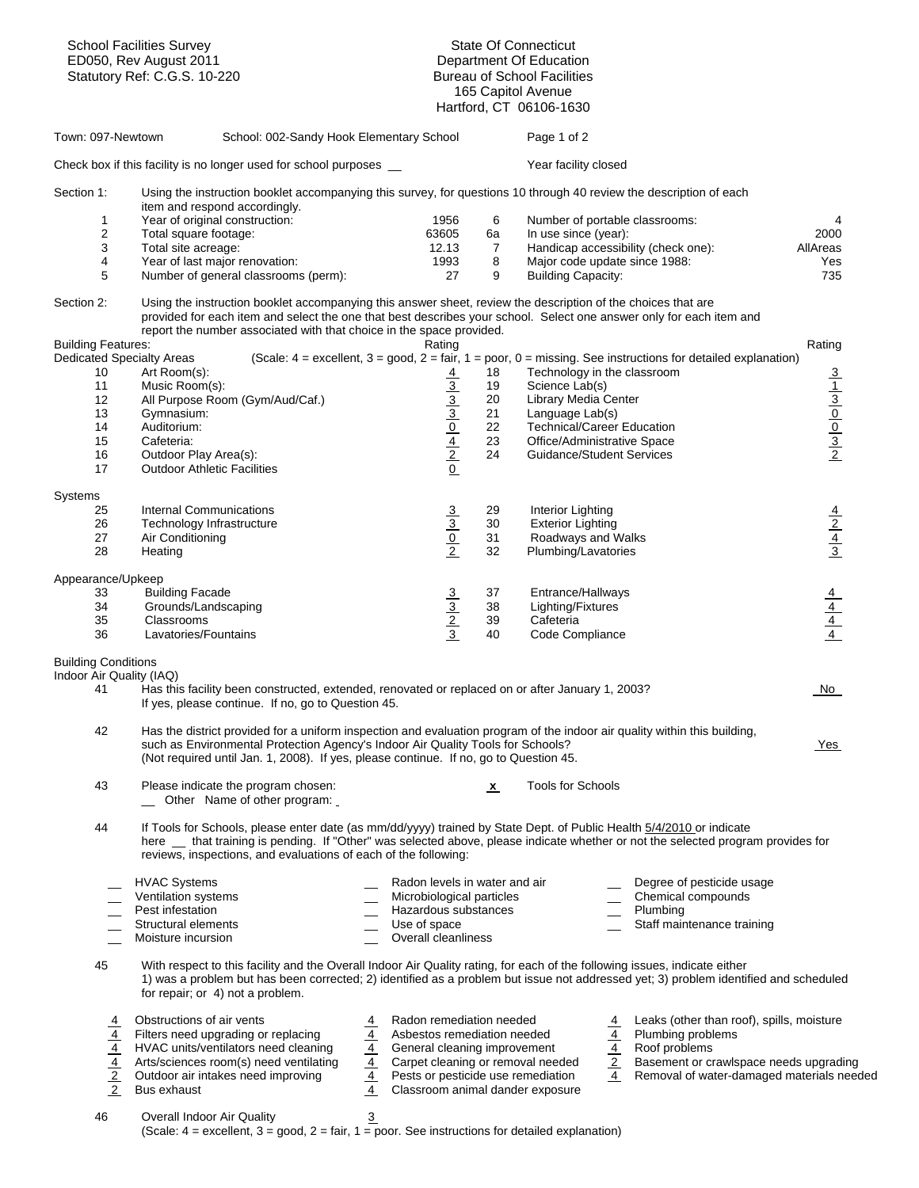| <b>School Facilities Survey</b><br>ED050, Rev August 2011<br>Statutory Ref: C.G.S. 10-220 |                                                                                                                                                                                                                                                                                                                             |                                                                                             | <b>State Of Connecticut</b>                                   |                                        |                                                                                                                                   |                                                                       |  |  |
|-------------------------------------------------------------------------------------------|-----------------------------------------------------------------------------------------------------------------------------------------------------------------------------------------------------------------------------------------------------------------------------------------------------------------------------|---------------------------------------------------------------------------------------------|---------------------------------------------------------------|----------------------------------------|-----------------------------------------------------------------------------------------------------------------------------------|-----------------------------------------------------------------------|--|--|
|                                                                                           |                                                                                                                                                                                                                                                                                                                             |                                                                                             | Department Of Education<br><b>Bureau of School Facilities</b> |                                        |                                                                                                                                   |                                                                       |  |  |
|                                                                                           |                                                                                                                                                                                                                                                                                                                             |                                                                                             |                                                               | 165 Capitol Avenue                     |                                                                                                                                   |                                                                       |  |  |
|                                                                                           |                                                                                                                                                                                                                                                                                                                             |                                                                                             |                                                               | Hartford, CT 06106-1630                |                                                                                                                                   |                                                                       |  |  |
| Town: 097-Newtown                                                                         | School: 002-Sandy Hook Elementary School                                                                                                                                                                                                                                                                                    |                                                                                             |                                                               | Page 1 of 2                            |                                                                                                                                   |                                                                       |  |  |
|                                                                                           | Check box if this facility is no longer used for school purposes _                                                                                                                                                                                                                                                          |                                                                                             |                                                               | Year facility closed                   |                                                                                                                                   |                                                                       |  |  |
| Section 1:                                                                                | Using the instruction booklet accompanying this survey, for questions 10 through 40 review the description of each                                                                                                                                                                                                          |                                                                                             |                                                               |                                        |                                                                                                                                   |                                                                       |  |  |
| 1                                                                                         | item and respond accordingly.<br>Year of original construction:                                                                                                                                                                                                                                                             | 1956                                                                                        | 6                                                             |                                        | Number of portable classrooms:                                                                                                    | 4                                                                     |  |  |
| 2                                                                                         | Total square footage:                                                                                                                                                                                                                                                                                                       | 63605                                                                                       | 6а                                                            | In use since (year):                   |                                                                                                                                   | 2000                                                                  |  |  |
| 3                                                                                         | Total site acreage:                                                                                                                                                                                                                                                                                                         | 12.13                                                                                       | 7                                                             |                                        | Handicap accessibility (check one):                                                                                               | AllAreas                                                              |  |  |
| 4                                                                                         | Year of last major renovation:                                                                                                                                                                                                                                                                                              | 1993                                                                                        | 8                                                             |                                        | Major code update since 1988:                                                                                                     | Yes                                                                   |  |  |
| 5                                                                                         | Number of general classrooms (perm):                                                                                                                                                                                                                                                                                        | 27                                                                                          | 9                                                             | <b>Building Capacity:</b>              |                                                                                                                                   | 735                                                                   |  |  |
| Section 2:                                                                                | Using the instruction booklet accompanying this answer sheet, review the description of the choices that are<br>provided for each item and select the one that best describes your school. Select one answer only for each item and<br>report the number associated with that choice in the space provided.                 |                                                                                             |                                                               |                                        |                                                                                                                                   |                                                                       |  |  |
| <b>Building Features:</b>                                                                 |                                                                                                                                                                                                                                                                                                                             | Rating                                                                                      |                                                               |                                        |                                                                                                                                   | Rating                                                                |  |  |
| <b>Dedicated Specialty Areas</b>                                                          |                                                                                                                                                                                                                                                                                                                             |                                                                                             |                                                               |                                        | (Scale: $4 =$ excellent, $3 =$ good, $2 =$ fair, $1 =$ poor, $0 =$ missing. See instructions for detailed explanation)            |                                                                       |  |  |
| 10                                                                                        | Art Room(s):                                                                                                                                                                                                                                                                                                                | $\frac{4}{3}$ $\frac{3}{2}$ $\frac{3}{2}$ $\frac{1}{2}$ $\frac{4}{2}$ $\frac{2}{0}$         | 18                                                            |                                        | Technology in the classroom                                                                                                       | $\frac{3}{1}$ $\frac{1}{2}$ $\frac{3}{1}$ $\frac{0}{2}$ $\frac{1}{2}$ |  |  |
| 11<br>12                                                                                  | Music Room(s):<br>All Purpose Room (Gym/Aud/Caf.)                                                                                                                                                                                                                                                                           |                                                                                             | 19<br>20                                                      | Science Lab(s)<br>Library Media Center |                                                                                                                                   |                                                                       |  |  |
| 13                                                                                        | Gymnasium:                                                                                                                                                                                                                                                                                                                  |                                                                                             | 21                                                            | Language Lab(s)                        |                                                                                                                                   |                                                                       |  |  |
| 14                                                                                        | Auditorium:                                                                                                                                                                                                                                                                                                                 |                                                                                             | 22                                                            |                                        | <b>Technical/Career Education</b>                                                                                                 |                                                                       |  |  |
| 15                                                                                        | Cafeteria:                                                                                                                                                                                                                                                                                                                  |                                                                                             | 23                                                            |                                        | Office/Administrative Space                                                                                                       |                                                                       |  |  |
| 16                                                                                        | Outdoor Play Area(s):                                                                                                                                                                                                                                                                                                       |                                                                                             | 24                                                            |                                        | Guidance/Student Services                                                                                                         |                                                                       |  |  |
| 17                                                                                        | <b>Outdoor Athletic Facilities</b>                                                                                                                                                                                                                                                                                          |                                                                                             |                                                               |                                        |                                                                                                                                   |                                                                       |  |  |
| Systems                                                                                   |                                                                                                                                                                                                                                                                                                                             |                                                                                             |                                                               |                                        |                                                                                                                                   |                                                                       |  |  |
| 25                                                                                        | <b>Internal Communications</b>                                                                                                                                                                                                                                                                                              |                                                                                             | 29                                                            | Interior Lighting                      |                                                                                                                                   |                                                                       |  |  |
| 26                                                                                        | Technology Infrastructure                                                                                                                                                                                                                                                                                                   |                                                                                             | 30                                                            | <b>Exterior Lighting</b>               |                                                                                                                                   |                                                                       |  |  |
| 27                                                                                        | Air Conditioning                                                                                                                                                                                                                                                                                                            | $\frac{3}{\sqrt{2}}$                                                                        | 31                                                            | Roadways and Walks                     |                                                                                                                                   | $\frac{\frac{4}{2}}{\frac{4}{3}}$                                     |  |  |
| 28                                                                                        | Heating                                                                                                                                                                                                                                                                                                                     |                                                                                             | 32                                                            | Plumbing/Lavatories                    |                                                                                                                                   |                                                                       |  |  |
| Appearance/Upkeep                                                                         |                                                                                                                                                                                                                                                                                                                             |                                                                                             |                                                               |                                        |                                                                                                                                   |                                                                       |  |  |
| 33                                                                                        | <b>Building Facade</b>                                                                                                                                                                                                                                                                                                      |                                                                                             | 37                                                            | Entrance/Hallways                      |                                                                                                                                   |                                                                       |  |  |
| 34                                                                                        | Grounds/Landscaping                                                                                                                                                                                                                                                                                                         |                                                                                             | 38                                                            | Lighting/Fixtures                      |                                                                                                                                   |                                                                       |  |  |
| 35<br>36                                                                                  | Classrooms<br>Lavatories/Fountains                                                                                                                                                                                                                                                                                          | $\frac{3}{2}$ $\frac{2}{3}$                                                                 | 39<br>40                                                      | Cafeteria<br>Code Compliance           |                                                                                                                                   | $\frac{\frac{4}{4}}{\frac{4}{4}}$                                     |  |  |
| <b>Building Conditions</b>                                                                |                                                                                                                                                                                                                                                                                                                             |                                                                                             |                                                               |                                        |                                                                                                                                   |                                                                       |  |  |
| Indoor Air Quality (IAQ)                                                                  |                                                                                                                                                                                                                                                                                                                             |                                                                                             |                                                               |                                        |                                                                                                                                   |                                                                       |  |  |
| 41                                                                                        | Has this facility been constructed, extended, renovated or replaced on or after January 1, 2003?<br>If yes, please continue. If no, go to Question 45.                                                                                                                                                                      |                                                                                             |                                                               |                                        |                                                                                                                                   | No                                                                    |  |  |
| 42                                                                                        | Has the district provided for a uniform inspection and evaluation program of the indoor air quality within this building,<br>such as Environmental Protection Agency's Indoor Air Quality Tools for Schools?<br>(Not required until Jan. 1, 2008). If yes, please continue. If no, go to Question 45.                       |                                                                                             |                                                               |                                        |                                                                                                                                   | <u>Yes</u>                                                            |  |  |
|                                                                                           |                                                                                                                                                                                                                                                                                                                             |                                                                                             |                                                               |                                        |                                                                                                                                   |                                                                       |  |  |
| 43                                                                                        | Please indicate the program chosen:<br>_ Other Name of other program:                                                                                                                                                                                                                                                       |                                                                                             | $\mathbf{x}$                                                  | <b>Tools for Schools</b>               |                                                                                                                                   |                                                                       |  |  |
| 44                                                                                        | If Tools for Schools, please enter date (as mm/dd/yyyy) trained by State Dept. of Public Health 5/4/2010 or indicate<br>here _ that training is pending. If "Other" was selected above, please indicate whether or not the selected program provides for<br>reviews, inspections, and evaluations of each of the following: |                                                                                             |                                                               |                                        |                                                                                                                                   |                                                                       |  |  |
|                                                                                           | <b>HVAC Systems</b>                                                                                                                                                                                                                                                                                                         | Radon levels in water and air                                                               |                                                               |                                        | Degree of pesticide usage                                                                                                         |                                                                       |  |  |
|                                                                                           | Ventilation systems<br>Pest infestation                                                                                                                                                                                                                                                                                     | Microbiological particles<br>Hazardous substances                                           |                                                               |                                        | Chemical compounds<br>$\overline{\phantom{a}}$                                                                                    |                                                                       |  |  |
|                                                                                           | Structural elements                                                                                                                                                                                                                                                                                                         | Use of space                                                                                |                                                               |                                        | Plumbing<br>Staff maintenance training                                                                                            |                                                                       |  |  |
|                                                                                           | Moisture incursion                                                                                                                                                                                                                                                                                                          | Overall cleanliness                                                                         |                                                               |                                        |                                                                                                                                   |                                                                       |  |  |
| 45                                                                                        | With respect to this facility and the Overall Indoor Air Quality rating, for each of the following issues, indicate either<br>1) was a problem but has been corrected; 2) identified as a problem but issue not addressed yet; 3) problem identified and scheduled<br>for repair; or 4) not a problem.                      |                                                                                             |                                                               |                                        |                                                                                                                                   |                                                                       |  |  |
| $\frac{\frac{4}{4}}{\frac{4}{2}}$                                                         | Obstructions of air vents<br>Filters need upgrading or replacing                                                                                                                                                                                                                                                            | Radon remediation needed<br>$\overline{4}$<br>$\overline{4}$<br>Asbestos remediation needed |                                                               |                                        | 4 Leaks (other than roof), spills, moisture<br>4 Plumbing problems<br>4 Roof problems<br>2 Basement or crawlspace needs upgrading |                                                                       |  |  |
|                                                                                           | HVAC units/ventilators need cleaning                                                                                                                                                                                                                                                                                        | General cleaning improvement                                                                |                                                               |                                        |                                                                                                                                   |                                                                       |  |  |
|                                                                                           | Arts/sciences room(s) need ventilating                                                                                                                                                                                                                                                                                      | $\frac{4}{4}$<br>Carpet cleaning or removal needed                                          |                                                               |                                        |                                                                                                                                   |                                                                       |  |  |
|                                                                                           | Outdoor air intakes need improving                                                                                                                                                                                                                                                                                          | $\frac{4}{4}$<br>Pests or pesticide use remediation                                         |                                                               |                                        | $\overline{4}$<br>Removal of water-damaged materials needed                                                                       |                                                                       |  |  |
|                                                                                           | Bus exhaust                                                                                                                                                                                                                                                                                                                 | Classroom animal dander exposure                                                            |                                                               |                                        |                                                                                                                                   |                                                                       |  |  |
| 46                                                                                        | Overall Indoor Air Quality                                                                                                                                                                                                                                                                                                  | $\overline{3}$                                                                              |                                                               |                                        |                                                                                                                                   |                                                                       |  |  |
|                                                                                           | (Scale: $4 =$ excellent, $3 =$ good, $2 =$ fair, $1 =$ poor. See instructions for detailed explanation)                                                                                                                                                                                                                     |                                                                                             |                                                               |                                        |                                                                                                                                   |                                                                       |  |  |